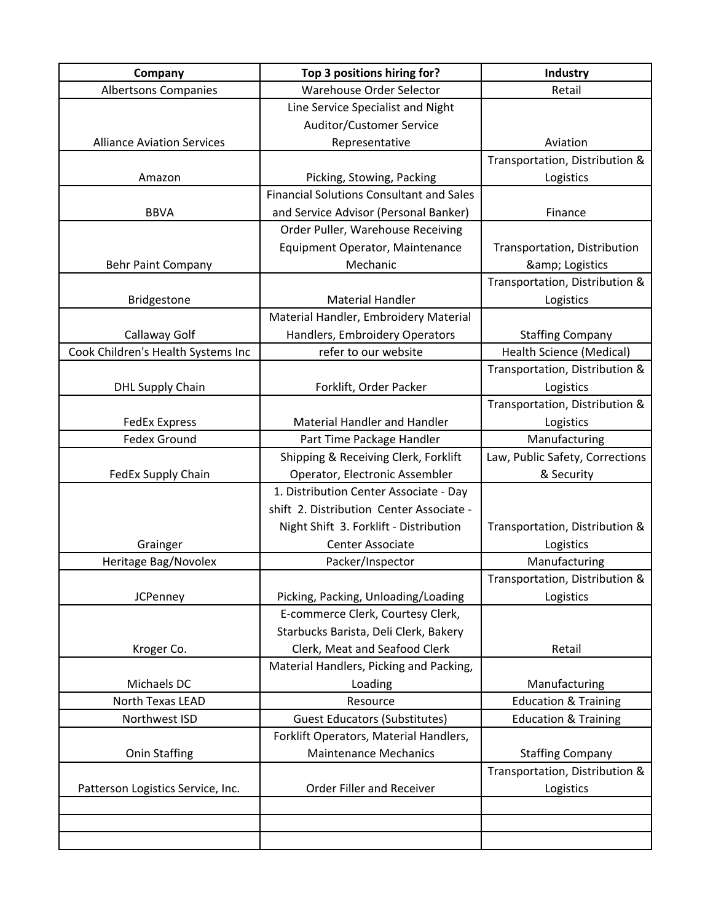| Company                            | Top 3 positions hiring for?                     | Industry                        |
|------------------------------------|-------------------------------------------------|---------------------------------|
| <b>Albertsons Companies</b>        | Warehouse Order Selector                        | Retail                          |
|                                    | Line Service Specialist and Night               |                                 |
|                                    | Auditor/Customer Service                        |                                 |
| <b>Alliance Aviation Services</b>  | Representative                                  | Aviation                        |
|                                    |                                                 | Transportation, Distribution &  |
| Amazon                             | Picking, Stowing, Packing                       | Logistics                       |
|                                    | <b>Financial Solutions Consultant and Sales</b> |                                 |
| <b>BBVA</b>                        | and Service Advisor (Personal Banker)           | Finance                         |
|                                    | Order Puller, Warehouse Receiving               |                                 |
|                                    | Equipment Operator, Maintenance                 | Transportation, Distribution    |
| <b>Behr Paint Company</b>          | Mechanic                                        | & Logistics                     |
|                                    |                                                 | Transportation, Distribution &  |
| Bridgestone                        | <b>Material Handler</b>                         | Logistics                       |
|                                    | Material Handler, Embroidery Material           |                                 |
| Callaway Golf                      | Handlers, Embroidery Operators                  | <b>Staffing Company</b>         |
| Cook Children's Health Systems Inc | refer to our website                            | <b>Health Science (Medical)</b> |
|                                    |                                                 | Transportation, Distribution &  |
| <b>DHL Supply Chain</b>            | Forklift, Order Packer                          | Logistics                       |
|                                    |                                                 | Transportation, Distribution &  |
| <b>FedEx Express</b>               | <b>Material Handler and Handler</b>             | Logistics                       |
| <b>Fedex Ground</b>                | Part Time Package Handler                       | Manufacturing                   |
|                                    | Shipping & Receiving Clerk, Forklift            | Law, Public Safety, Corrections |
| FedEx Supply Chain                 | Operator, Electronic Assembler                  | & Security                      |
|                                    | 1. Distribution Center Associate - Day          |                                 |
|                                    | shift 2. Distribution Center Associate -        |                                 |
|                                    | Night Shift 3. Forklift - Distribution          | Transportation, Distribution &  |
| Grainger                           | <b>Center Associate</b>                         | Logistics                       |
| Heritage Bag/Novolex               | Packer/Inspector                                | Manufacturing                   |
|                                    |                                                 | Transportation, Distribution &  |
| <b>JCPenney</b>                    | Picking, Packing, Unloading/Loading             | Logistics                       |
|                                    | E-commerce Clerk, Courtesy Clerk,               |                                 |
|                                    | Starbucks Barista, Deli Clerk, Bakery           |                                 |
| Kroger Co.                         | Clerk, Meat and Seafood Clerk                   | Retail                          |
|                                    | Material Handlers, Picking and Packing,         |                                 |
| Michaels DC                        | Loading                                         | Manufacturing                   |
| North Texas LEAD                   | Resource                                        | <b>Education &amp; Training</b> |
| Northwest ISD                      | <b>Guest Educators (Substitutes)</b>            | <b>Education &amp; Training</b> |
|                                    | Forklift Operators, Material Handlers,          |                                 |
| <b>Onin Staffing</b>               | <b>Maintenance Mechanics</b>                    | <b>Staffing Company</b>         |
|                                    |                                                 | Transportation, Distribution &  |
| Patterson Logistics Service, Inc.  | Order Filler and Receiver                       | Logistics                       |
|                                    |                                                 |                                 |
|                                    |                                                 |                                 |
|                                    |                                                 |                                 |